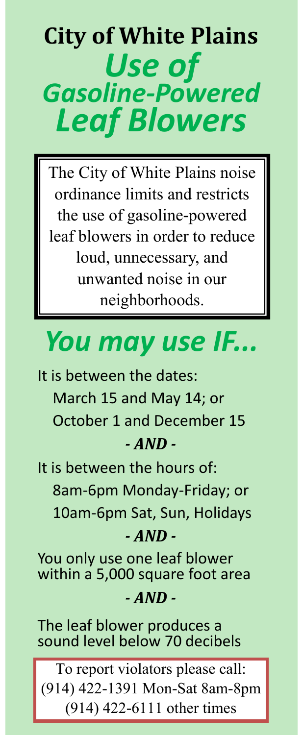# **City of White Plains** *Use of Gasoline-Powered Leaf Blowers*

The City of White Plains noise ordinance limits and restricts the use of gasoline-powered leaf blowers in order to reduce loud, unnecessary, and unwanted noise in our neighborhoods.

## *You may use IF...*

It is between the dates: March 15 and May 14; or October 1 and December 15 *- AND -*

It is between the hours of: 8am-6pm Monday-Friday; or 10am-6pm Sat, Sun, Holidays

### *- AND -*

You only use one leaf blower within a 5,000 square foot area

#### *- AND -*

The leaf blower produces a sound level below 70 decibels

To report violators please call: (914) 422-1391 Mon-Sat 8am-8pm (914) 422-6111 other times